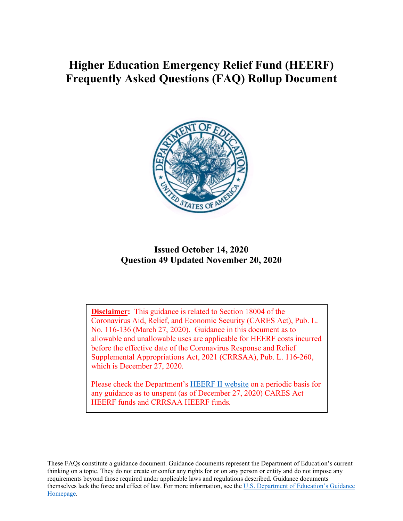# **Higher Education Emergency Relief Fund (HEERF) Frequently Asked Questions (FAQ) Rollup Document**



#### **Issued October 14, 2020 Question 49 Updated November 20, 2020**

**Disclaimer:** This guidance is related to Section 18004 of the Coronavirus Aid, Relief, and Economic Security (CARES Act), Pub. L. No. 116-136 (March 27, 2020). Guidance in this document as to allowable and unallowable uses are applicable for HEERF costs incurred before the effective date of the Coronavirus Response and Relief Supplemental Appropriations Act, 2021 (CRRSAA), Pub. L. 116-260, which is December 27, 2020.

Please check the Department's [HEERF II website](https://www2.ed.gov/about/offices/list/ope/crrsaa.html) on a periodic basis for any guidance as to unspent (as of December 27, 2020) CARES Act HEERF funds and CRRSAA HEERF funds*.*

These FAQs constitute a guidance document. Guidance documents represent the Department of Education's current thinking on a topic. They do not create or confer any rights for or on any person or entity and do not impose any requirements beyond those required under applicable laws and regulations described. Guidance documents themselves lack the force and effect of law. For more information, see the [U.S. Department of Education's Guidance](https://www2.ed.gov/policy/gen/guid/types-of-guidancedocuments.html)  [Homepage.](https://www2.ed.gov/policy/gen/guid/types-of-guidancedocuments.html)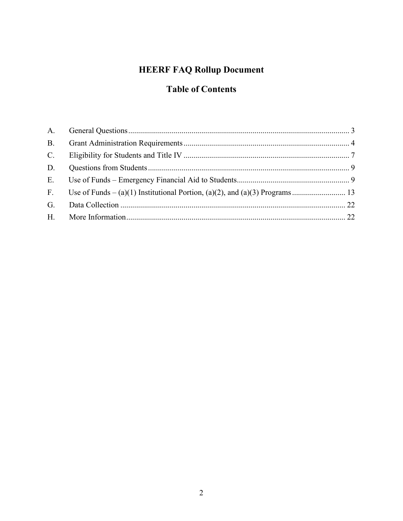# **HEERF FAQ Rollup Document**

# **Table of Contents**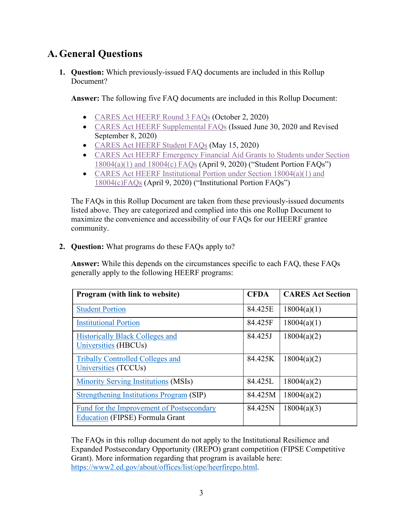# <span id="page-2-0"></span>**A.General Questions**

**1. Question:** Which previously-issued FAQ documents are included in this Rollup Document?

**Answer:** The following five FAQ documents are included in this Rollup Document:

- [CARES Act HEERF Round](https://www2.ed.gov/about/offices/list/ope/round3heerffaqs1022020.pdf) 3 FAQs (October 2, 2020)
- [CARES Act HEERF Supplemental FAQs](https://www2.ed.gov/about/offices/list/ope/caresactsupplementalfaqs63020-90820revision.pdf) (Issued June 30, 2020 and Revised September 8, 2020)
- [CARES Act HEERF Student FAQs](https://www2.ed.gov/about/offices/list/ope/studentfaqs515.pdf) (May 15, 2020)
- [CARES Act HEERF Emergency Financial Aid Grants to Students under Section](https://www2.ed.gov/about/offices/list/ope/heerfstudentfaqs.pdf)  [18004\(a\)\(1\) and 18004\(c\) FAQs](https://www2.ed.gov/about/offices/list/ope/heerfstudentfaqs.pdf) (April 9, 2020) ("Student Portion FAQs")
- CARES Act HEERF Institutional Portion under Section 18004(a)(1) and [18004\(c\)FAQs](https://www2.ed.gov/about/offices/list/ope/heerfinstitutionalfaqs.pdf) (April 9, 2020) ("Institutional Portion FAQs")

The FAQs in this Rollup Document are taken from these previously-issued documents listed above. They are categorized and complied into this one Rollup Document to maximize the convenience and accessibility of our FAQs for our HEERF grantee community.

**2. Question:** What programs do these FAQs apply to?

**Answer:** While this depends on the circumstances specific to each FAQ, these FAQs generally apply to the following HEERF programs:

| <b>Program</b> (with link to website)                                               | <b>CFDA</b> | <b>CARES Act Section</b> |
|-------------------------------------------------------------------------------------|-------------|--------------------------|
| <b>Student Portion</b>                                                              | 84.425E     | 18004(a)(1)              |
| <b>Institutional Portion</b>                                                        | 84.425F     | 18004(a)(1)              |
| <b>Historically Black Colleges and</b><br>Universities (HBCUs)                      | 84.425J     | 18004(a)(2)              |
| <b>Tribally Controlled Colleges and</b><br>Universities (TCCUs)                     | 84.425K     | 18004(a)(2)              |
| <b>Minority Serving Institutions (MSIs)</b>                                         | 84.425L     | 18004(a)(2)              |
| Strengthening Institutions Program (SIP)                                            | 84.425M     | 18004(a)(2)              |
| Fund for the Improvement of Postsecondary<br><b>Education (FIPSE) Formula Grant</b> | 84.425N     | 18004(a)(3)              |

The FAQs in this rollup document do not apply to the Institutional Resilience and Expanded Postsecondary Opportunity (IREPO) grant competition (FIPSE Competitive Grant). More information regarding that program is available here: [https://www2.ed.gov/about/offices/list/ope/heerfirepo.html.](https://www2.ed.gov/about/offices/list/ope/heerfirepo.html)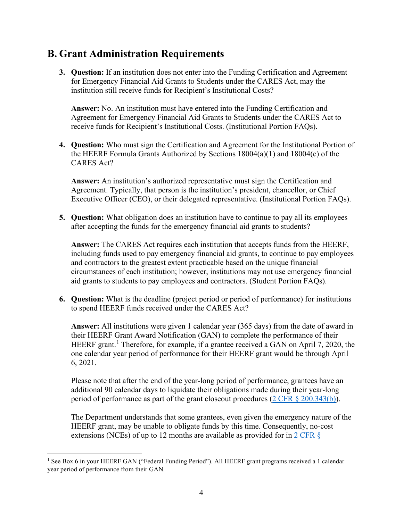## <span id="page-3-0"></span>**B. Grant Administration Requirements**

**3. Question:** If an institution does not enter into the Funding Certification and Agreement for Emergency Financial Aid Grants to Students under the CARES Act, may the institution still receive funds for Recipient's Institutional Costs?

**Answer:** No. An institution must have entered into the Funding Certification and Agreement for Emergency Financial Aid Grants to Students under the CARES Act to receive funds for Recipient's Institutional Costs. (Institutional Portion FAQs).

**4. Question:** Who must sign the Certification and Agreement for the Institutional Portion of the HEERF Formula Grants Authorized by Sections 18004(a)(1) and 18004(c) of the CARES Act?

**Answer:** An institution's authorized representative must sign the Certification and Agreement. Typically, that person is the institution's president, chancellor, or Chief Executive Officer (CEO), or their delegated representative. (Institutional Portion FAQs).

**5. Question:** What obligation does an institution have to continue to pay all its employees after accepting the funds for the emergency financial aid grants to students?

**Answer:** The CARES Act requires each institution that accepts funds from the HEERF, including funds used to pay emergency financial aid grants, to continue to pay employees and contractors to the greatest extent practicable based on the unique financial circumstances of each institution; however, institutions may not use emergency financial aid grants to students to pay employees and contractors. (Student Portion FAQs).

**6. Question:** What is the deadline (project period or period of performance) for institutions to spend HEERF funds received under the CARES Act?

**Answer:** All institutions were given 1 calendar year (365 days) from the date of award in their HEERF Grant Award Notification (GAN) to complete the performance of their HEERF grant.<sup>[1](#page-3-1)</sup> Therefore, for example, if a grantee received a GAN on April 7, 2020, the one calendar year period of performance for their HEERF grant would be through April 6, 2021.

Please note that after the end of the year-long period of performance, grantees have an additional 90 calendar days to liquidate their obligations made during their year-long period of performance as part of the grant closeout procedures [\(2 CFR § 200.343\(b\)\)](https://www.ecfr.gov/cgi-bin/text-idx?SID=f7a856431a8657a3e10f2f3cf3a71cc2&mc=true&node=se2.1.200_1343&rgn=div8).

The Department understands that some grantees, even given the emergency nature of the HEERF grant, may be unable to obligate funds by this time. Consequently, no-cost extensions (NCEs) of up to 12 months are available as provided for in 2 CFR  $\frac{1}{5}$ 

<span id="page-3-1"></span><sup>&</sup>lt;sup>1</sup> See Box 6 in your HEERF GAN ("Federal Funding Period"). All HEERF grant programs received a 1 calendar year period of performance from their GAN.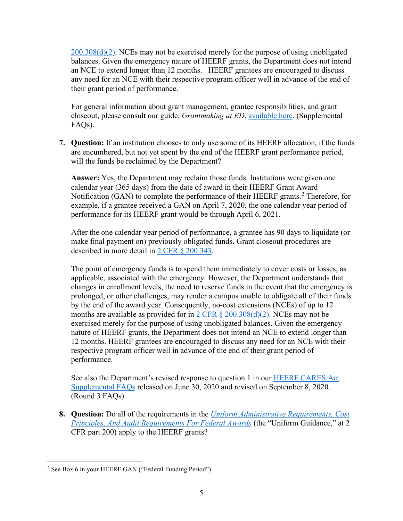$200.308(d)(2)$ . NCEs may not be exercised merely for the purpose of using unobligated balances. Given the emergency nature of HEERF grants, the Department does not intend an NCE to extend longer than 12 months. HEERF grantees are encouraged to discuss any need for an NCE with their respective program officer well in advance of the end of their grant period of performance.

For general information about grant management, grantee responsibilities, and grant closeout, please consult our guide, *Grantmaking at ED*, [available here.](https://www2.ed.gov/fund/grant/about/grantmaking/index.html) (Supplemental FAQs).

**7. Question:** If an institution chooses to only use some of its HEERF allocation, if the funds are encumbered, but not yet spent by the end of the HEERF grant performance period, will the funds be reclaimed by the Department?

**Answer:** Yes, the Department may reclaim those funds. Institutions were given one calendar year (365 days) from the date of award in their HEERF Grant Award Notification (GAN) to complete the performance of their HEERF grants. [2](#page-4-0) Therefore, for example, if a grantee received a GAN on April 7, 2020, the one calendar year period of performance for its HEERF grant would be through April 6, 2021.

After the one calendar year period of performance, a grantee has 90 days to liquidate (or make final payment on) previously obligated funds**.** Grant closeout procedures are described in more detail in [2 CFR § 200.343.](https://www.ecfr.gov/cgi-bin/text-idx?SID=7385142805627775f3966b213f952140&mc=true&node=se2.1.200_1343&rgn=div8)

The point of emergency funds is to spend them immediately to cover costs or losses, as applicable, associated with the emergency. However, the Department understands that changes in enrollment levels, the need to reserve funds in the event that the emergency is prolonged, or other challenges, may render a campus unable to obligate all of their funds by the end of the award year. Consequently, no-cost extensions (NCEs) of up to 12 months are available as provided for in  $2 \text{ CFR } \frac{8}{9}$  200.308(d)(2). NCEs may not be exercised merely for the purpose of using unobligated balances. Given the emergency nature of HEERF grants, the Department does not intend an NCE to extend longer than 12 months. HEERF grantees are encouraged to discuss any need for an NCE with their respective program officer well in advance of the end of their grant period of performance.

See also the Department's revised response to question 1 in our [HEERF CARES Act](https://www2.ed.gov/about/offices/list/ope/caresactsupplementalfaqs63020-90820revision.pdf)  [Supplemental FAQs](https://www2.ed.gov/about/offices/list/ope/caresactsupplementalfaqs63020-90820revision.pdf) released on June 30, 2020 and revised on September 8, 2020. (Round 3 FAQs).

**8. Question:** Do all of the requirements in the *[Uniform Administrative Requirements, Cost](https://www.ecfr.gov/cgi-bin/text-idx?SID=0dcb64fbb82d8d08276a5bdeed09ef3f&mc=true&tpl=/ecfrbrowse/Title02/2cfr200_main_02.tpl)  [Principles, And Audit Requirements For Federal Awards](https://www.ecfr.gov/cgi-bin/text-idx?SID=0dcb64fbb82d8d08276a5bdeed09ef3f&mc=true&tpl=/ecfrbrowse/Title02/2cfr200_main_02.tpl)* (the "Uniform Guidance," at 2 CFR part 200) apply to the HEERF grants?

<span id="page-4-0"></span><sup>2</sup> See Box 6 in your HEERF GAN ("Federal Funding Period").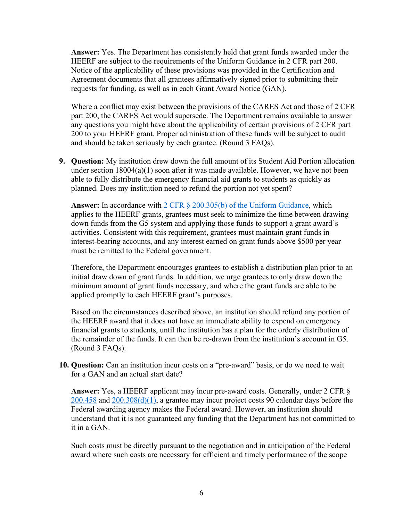**Answer:** Yes. The Department has consistently held that grant funds awarded under the HEERF are subject to the requirements of the Uniform Guidance in 2 CFR part 200. Notice of the applicability of these provisions was provided in the Certification and Agreement documents that all grantees affirmatively signed prior to submitting their requests for funding, as well as in each Grant Award Notice (GAN).

Where a conflict may exist between the provisions of the CARES Act and those of 2 CFR part 200, the CARES Act would supersede. The Department remains available to answer any questions you might have about the applicability of certain provisions of 2 CFR part 200 to your HEERF grant. Proper administration of these funds will be subject to audit and should be taken seriously by each grantee. (Round 3 FAQs).

**9. Question:** My institution drew down the full amount of its Student Aid Portion allocation under section 18004(a)(1) soon after it was made available. However, we have not been able to fully distribute the emergency financial aid grants to students as quickly as planned. Does my institution need to refund the portion not yet spent?

**Answer:** In accordance with [2 CFR § 200.305\(b\)](https://www.ecfr.gov/cgi-bin/text-idx?SID=951f5b40a9a40332ebf3237d1260dfb8&mc=true&node=se2.1.200_1305&rgn=div8) of the Uniform Guidance, which applies to the HEERF grants, grantees must seek to minimize the time between drawing down funds from the G5 system and applying those funds to support a grant award's activities. Consistent with this requirement, grantees must maintain grant funds in interest-bearing accounts, and any interest earned on grant funds above \$500 per year must be remitted to the Federal government.

Therefore, the Department encourages grantees to establish a distribution plan prior to an initial draw down of grant funds. In addition, we urge grantees to only draw down the minimum amount of grant funds necessary, and where the grant funds are able to be applied promptly to each HEERF grant's purposes.

Based on the circumstances described above, an institution should refund any portion of the HEERF award that it does not have an immediate ability to expend on emergency financial grants to students, until the institution has a plan for the orderly distribution of the remainder of the funds. It can then be re-drawn from the institution's account in G5. (Round 3 FAQs).

**10. Question:** Can an institution incur costs on a "pre-award" basis, or do we need to wait for a GAN and an actual start date?

**Answer:** Yes, a HEERF applicant may incur pre-award costs. Generally, under 2 CFR § [200.458](https://www.ecfr.gov/cgi-bin/text-idx?SID=951f5b40a9a40332ebf3237d1260dfb8&mc=true&node=se2.1.200_1458&rgn=div8) and [200.308\(d\)\(1\),](https://www.ecfr.gov/cgi-bin/text-idx?SID=951f5b40a9a40332ebf3237d1260dfb8&mc=true&node=se2.1.200_1308&rgn=div8) a grantee may incur project costs 90 calendar days before the Federal awarding agency makes the Federal award. However, an institution should understand that it is not guaranteed any funding that the Department has not committed to it in a GAN.

Such costs must be directly pursuant to the negotiation and in anticipation of the Federal award where such costs are necessary for efficient and timely performance of the scope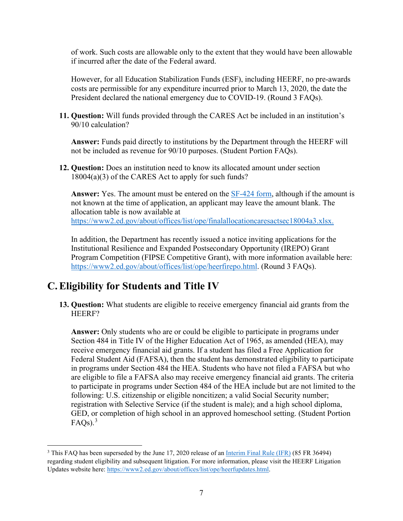of work. Such costs are allowable only to the extent that they would have been allowable if incurred after the date of the Federal award.

However, for all Education Stabilization Funds (ESF), including HEERF, no pre-awards costs are permissible for any expenditure incurred prior to March 13, 2020, the date the President declared the national emergency due to COVID-19. (Round 3 FAQs).

**11. Question:** Will funds provided through the CARES Act be included in an institution's 90/10 calculation?

**Answer:** Funds paid directly to institutions by the Department through the HEERF will not be included as revenue for 90/10 purposes. (Student Portion FAQs).

**12. Question:** Does an institution need to know its allocated amount under section 18004(a)(3) of the CARES Act to apply for such funds?

**Answer:** Yes. The amount must be entered on the [SF-424 form,](https://www.grants.gov/forms/sf-424-family.html) although if the amount is not known at the time of application, an applicant may leave the amount blank. The allocation table is now available at [https://www2.ed.gov/about/offices/list/ope/finalallocationcaresactsec18004a3.xlsx.](https://www2.ed.gov/about/offices/list/ope/finalallocationcaresactsec18004a3.xlsx)

In addition, the Department has recently issued a notice inviting applications for the Institutional Resilience and Expanded Postsecondary Opportunity (IREPO) Grant Program Competition (FIPSE Competitive Grant), with more information available here: [https://www2.ed.gov/about/offices/list/ope/heerfirepo.html.](https://www2.ed.gov/about/offices/list/ope/heerfirepo.html) (Round 3 FAQs).

### <span id="page-6-0"></span>**C.Eligibility for Students and Title IV**

**13. Question:** What students are eligible to receive emergency financial aid grants from the HEERF?

**Answer:** Only students who are or could be eligible to participate in programs under Section 484 in Title IV of the Higher Education Act of 1965, as amended (HEA), may receive emergency financial aid grants. If a student has filed a Free Application for Federal Student Aid (FAFSA), then the student has demonstrated eligibility to participate in programs under Section 484 the HEA. Students who have not filed a FAFSA but who are eligible to file a FAFSA also may receive emergency financial aid grants. The criteria to participate in programs under Section 484 of the HEA include but are not limited to the following: U.S. citizenship or eligible noncitizen; a valid Social Security number; registration with Selective Service (if the student is male); and a high school diploma, GED, or completion of high school in an approved homeschool setting. (Student Portion  $\text{FAQs}$ ).<sup>[3](#page-6-1)</sup>

<span id="page-6-1"></span><sup>&</sup>lt;sup>3</sup> This FAQ has been superseded by the June 17, 2020 release of an [Interim Final Rule \(IFR\)](https://www.federalregister.gov/d/2020-12965) (85 FR 36494) regarding student eligibility and subsequent litigation. For more information, please visit the HEERF Litigation Updates website here: [https://www2.ed.gov/about/offices/list/ope/heerfupdates.html.](https://www2.ed.gov/about/offices/list/ope/heerfupdates.html)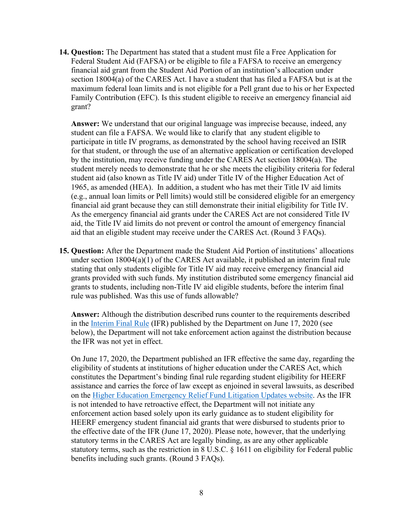**14. Question:** The Department has stated that a student must file a Free Application for Federal Student Aid (FAFSA) or be eligible to file a FAFSA to receive an emergency financial aid grant from the Student Aid Portion of an institution's allocation under section 18004(a) of the CARES Act. I have a student that has filed a FAFSA but is at the maximum federal loan limits and is not eligible for a Pell grant due to his or her Expected Family Contribution (EFC). Is this student eligible to receive an emergency financial aid grant?

**Answer:** We understand that our original language was imprecise because, indeed, any student can file a FAFSA. We would like to clarify that any student eligible to participate in title IV programs, as demonstrated by the school having received an ISIR for that student, or through the use of an alternative application or certification developed by the institution, may receive funding under the CARES Act section 18004(a). The student merely needs to demonstrate that he or she meets the eligibility criteria for federal student aid (also known as Title IV aid) under Title IV of the Higher Education Act of 1965, as amended (HEA). In addition, a student who has met their Title IV aid limits (e.g., annual loan limits or Pell limits) would still be considered eligible for an emergency financial aid grant because they can still demonstrate their initial eligibility for Title IV. As the emergency financial aid grants under the CARES Act are not considered Title IV aid, the Title IV aid limits do not prevent or control the amount of emergency financial aid that an eligible student may receive under the CARES Act. (Round 3 FAQs).

**15. Question:** After the Department made the Student Aid Portion of institutions' allocations under section 18004(a)(1) of the CARES Act available, it published an interim final rule stating that only students eligible for Title IV aid may receive emergency financial aid grants provided with such funds. My institution distributed some emergency financial aid grants to students, including non-Title IV aid eligible students, before the interim final rule was published. Was this use of funds allowable?

**Answer:** Although the distribution described runs counter to the requirements described in the [Interim Final Rule](https://www.federalregister.gov/documents/2020/06/17/2020-12965/eligibility-of-students-at-institutions-of-higher-education-for-funds-under-the-coronavirus-aid) (IFR) published by the Department on June 17, 2020 (see below), the Department will not take enforcement action against the distribution because the IFR was not yet in effect.

On June 17, 2020, the Department published an IFR effective the same day, regarding the eligibility of students at institutions of higher education under the CARES Act, which constitutes the Department's binding final rule regarding student eligibility for HEERF assistance and carries the force of law except as enjoined in several lawsuits, as described on the [Higher Education Emergency Relief Fund Litigation Updates website.](https://www2.ed.gov/about/offices/list/ope/heerfupdates.html) As the IFR is not intended to have retroactive effect, the Department will not initiate any enforcement action based solely upon its early guidance as to student eligibility for HEERF emergency student financial aid grants that were disbursed to students prior to the effective date of the IFR (June 17, 2020). Please note, however, that the underlying statutory terms in the CARES Act are legally binding, as are any other applicable statutory terms, such as the restriction in 8 U.S.C. § 1611 on eligibility for Federal public benefits including such grants. (Round 3 FAQs).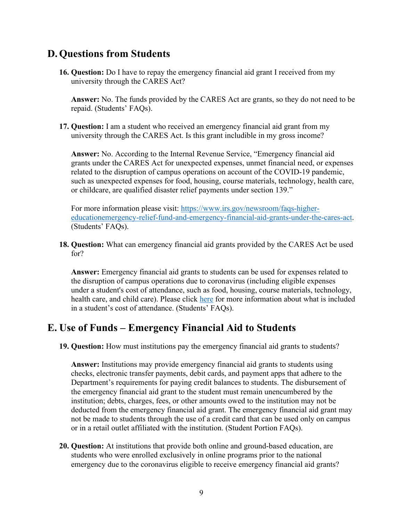#### <span id="page-8-0"></span>**D.Questions from Students**

**16. Question:** Do I have to repay the emergency financial aid grant I received from my university through the CARES Act?

**Answer:** No. The funds provided by the CARES Act are grants, so they do not need to be repaid. (Students' FAQs).

**17. Question:** I am a student who received an emergency financial aid grant from my university through the CARES Act. Is this grant includible in my gross income?

**Answer:** No. According to the Internal Revenue Service, "Emergency financial aid grants under the CARES Act for unexpected expenses, unmet financial need, or expenses related to the disruption of campus operations on account of the COVID-19 pandemic, such as unexpected expenses for food, housing, course materials, technology, health care, or childcare, are qualified disaster relief payments under section 139."

For more information please visit: [https://www.irs.gov/newsroom/faqs-higher](https://www.irs.gov/newsroom/faqs-higher-educationemergency-relief-fund-and-emergency-financial-aid-grants-under-the-cares-act)[educationemergency-relief-fund-and-emergency-financial-aid-grants-under-the-cares-act.](https://www.irs.gov/newsroom/faqs-higher-educationemergency-relief-fund-and-emergency-financial-aid-grants-under-the-cares-act) (Students' FAQs).

**18. Question:** What can emergency financial aid grants provided by the CARES Act be used for?

**Answer:** Emergency financial aid grants to students can be used for expenses related to the disruption of campus operations due to coronavirus (including eligible expenses under a student's cost of attendance, such as food, housing, course materials, technology, health care, and child care). Please click [here](https://fafsa.ed.gov/help/costatt.htm) for more information about what is included in a student's cost of attendance. (Students' FAQs).

#### <span id="page-8-1"></span>**E. Use of Funds – Emergency Financial Aid to Students**

**19. Question:** How must institutions pay the emergency financial aid grants to students?

**Answer:** Institutions may provide emergency financial aid grants to students using checks, electronic transfer payments, debit cards, and payment apps that adhere to the Department's requirements for paying credit balances to students. The disbursement of the emergency financial aid grant to the student must remain unencumbered by the institution; debts, charges, fees, or other amounts owed to the institution may not be deducted from the emergency financial aid grant. The emergency financial aid grant may not be made to students through the use of a credit card that can be used only on campus or in a retail outlet affiliated with the institution. (Student Portion FAQs).

**20. Question:** At institutions that provide both online and ground-based education, are students who were enrolled exclusively in online programs prior to the national emergency due to the coronavirus eligible to receive emergency financial aid grants?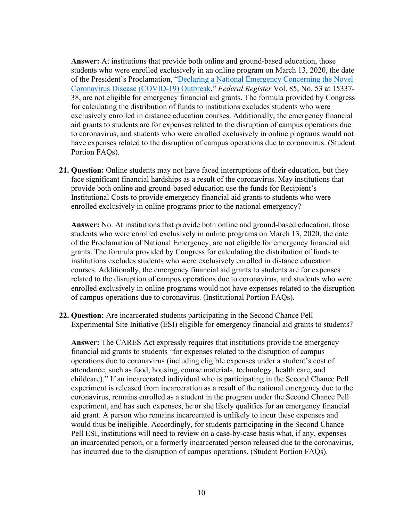**Answer:** At institutions that provide both online and ground-based education, those students who were enrolled exclusively in an online program on March 13, 2020, the date of the President's Proclamation, ["Declaring a National Emergency Concerning the Novel](https://www.federalregister.gov/d/2020-05794)  [Coronavirus Disease \(COVID-19\) Outbreak,](https://www.federalregister.gov/d/2020-05794)" *Federal Register* Vol. 85, No. 53 at 15337- 38, are not eligible for emergency financial aid grants. The formula provided by Congress for calculating the distribution of funds to institutions excludes students who were exclusively enrolled in distance education courses. Additionally, the emergency financial aid grants to students are for expenses related to the disruption of campus operations due to coronavirus, and students who were enrolled exclusively in online programs would not have expenses related to the disruption of campus operations due to coronavirus. (Student Portion FAQs).

**21. Question:** Online students may not have faced interruptions of their education, but they face significant financial hardships as a result of the coronavirus. May institutions that provide both online and ground-based education use the funds for Recipient's Institutional Costs to provide emergency financial aid grants to students who were enrolled exclusively in online programs prior to the national emergency?

**Answer:** No. At institutions that provide both online and ground-based education, those students who were enrolled exclusively in online programs on March 13, 2020, the date of the Proclamation of National Emergency, are not eligible for emergency financial aid grants. The formula provided by Congress for calculating the distribution of funds to institutions excludes students who were exclusively enrolled in distance education courses. Additionally, the emergency financial aid grants to students are for expenses related to the disruption of campus operations due to coronavirus, and students who were enrolled exclusively in online programs would not have expenses related to the disruption of campus operations due to coronavirus. (Institutional Portion FAQs).

**22. Question:** Are incarcerated students participating in the Second Chance Pell Experimental Site Initiative (ESI) eligible for emergency financial aid grants to students?

**Answer:** The CARES Act expressly requires that institutions provide the emergency financial aid grants to students "for expenses related to the disruption of campus operations due to coronavirus (including eligible expenses under a student's cost of attendance, such as food, housing, course materials, technology, health care, and childcare)." If an incarcerated individual who is participating in the Second Chance Pell experiment is released from incarceration as a result of the national emergency due to the coronavirus, remains enrolled as a student in the program under the Second Chance Pell experiment, and has such expenses, he or she likely qualifies for an emergency financial aid grant. A person who remains incarcerated is unlikely to incur these expenses and would thus be ineligible. Accordingly, for students participating in the Second Chance Pell ESI, institutions will need to review on a case-by-case basis what, if any, expenses an incarcerated person, or a formerly incarcerated person released due to the coronavirus, has incurred due to the disruption of campus operations. (Student Portion FAQs).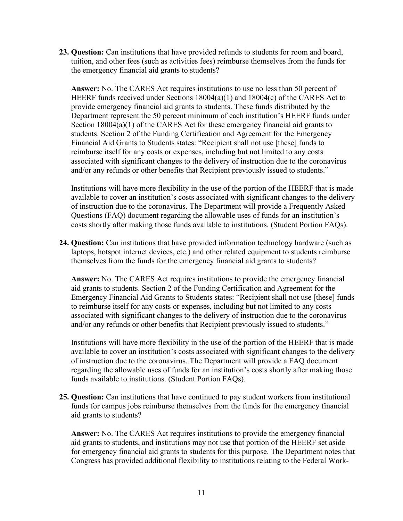**23. Question:** Can institutions that have provided refunds to students for room and board, tuition, and other fees (such as activities fees) reimburse themselves from the funds for the emergency financial aid grants to students?

**Answer:** No. The CARES Act requires institutions to use no less than 50 percent of HEERF funds received under Sections 18004(a)(1) and 18004(c) of the CARES Act to provide emergency financial aid grants to students. These funds distributed by the Department represent the 50 percent minimum of each institution's HEERF funds under Section 18004(a)(1) of the CARES Act for these emergency financial aid grants to students. Section 2 of the Funding Certification and Agreement for the Emergency Financial Aid Grants to Students states: "Recipient shall not use [these] funds to reimburse itself for any costs or expenses, including but not limited to any costs associated with significant changes to the delivery of instruction due to the coronavirus and/or any refunds or other benefits that Recipient previously issued to students."

Institutions will have more flexibility in the use of the portion of the HEERF that is made available to cover an institution's costs associated with significant changes to the delivery of instruction due to the coronavirus. The Department will provide a Frequently Asked Questions (FAQ) document regarding the allowable uses of funds for an institution's costs shortly after making those funds available to institutions. (Student Portion FAQs).

**24. Question:** Can institutions that have provided information technology hardware (such as laptops, hotspot internet devices, etc.) and other related equipment to students reimburse themselves from the funds for the emergency financial aid grants to students?

**Answer:** No. The CARES Act requires institutions to provide the emergency financial aid grants to students. Section 2 of the Funding Certification and Agreement for the Emergency Financial Aid Grants to Students states: "Recipient shall not use [these] funds to reimburse itself for any costs or expenses, including but not limited to any costs associated with significant changes to the delivery of instruction due to the coronavirus and/or any refunds or other benefits that Recipient previously issued to students."

Institutions will have more flexibility in the use of the portion of the HEERF that is made available to cover an institution's costs associated with significant changes to the delivery of instruction due to the coronavirus. The Department will provide a FAQ document regarding the allowable uses of funds for an institution's costs shortly after making those funds available to institutions. (Student Portion FAQs).

**25. Question:** Can institutions that have continued to pay student workers from institutional funds for campus jobs reimburse themselves from the funds for the emergency financial aid grants to students?

**Answer:** No. The CARES Act requires institutions to provide the emergency financial aid grants to students, and institutions may not use that portion of the HEERF set aside for emergency financial aid grants to students for this purpose. The Department notes that Congress has provided additional flexibility to institutions relating to the Federal Work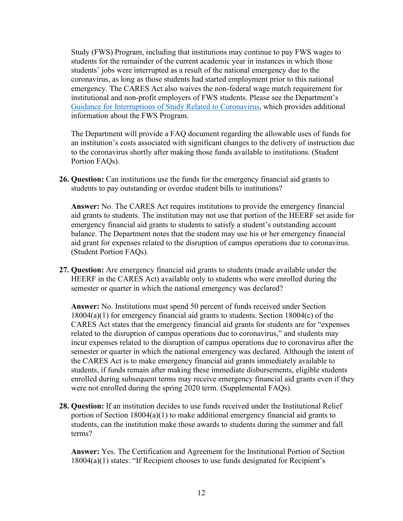Study (FWS) Program, including that institutions may continue to pay FWS wages to students for the remainder of the current academic year in instances in which those students' jobs were interrupted as a result of the national emergency due to the coronavirus, as long as those students had started employment prior to this national emergency. The CARES Act also waives the non-federal wage match requirement for institutional and non-profit employers of FWS students. Please see the Department's [Guidance for Interruptions of Study Related to Coronavirus,](https://ifap.ed.gov/electronic-announcements/030520Guidance4interruptionsrelated2CoronavirusCOVID19) which provides additional information about the FWS Program.

The Department will provide a FAQ document regarding the allowable uses of funds for an institution's costs associated with significant changes to the delivery of instruction due to the coronavirus shortly after making those funds available to institutions. (Student Portion FAQs).

**26. Question:** Can institutions use the funds for the emergency financial aid grants to students to pay outstanding or overdue student bills to institutions?

**Answer:** No. The CARES Act requires institutions to provide the emergency financial aid grants to students. The institution may not use that portion of the HEERF set aside for emergency financial aid grants to students to satisfy a student's outstanding account balance. The Department notes that the student may use his or her emergency financial aid grant for expenses related to the disruption of campus operations due to coronavirus. (Student Portion FAQs).

**27. Question:** Are emergency financial aid grants to students (made available under the HEERF in the CARES Act) available only to students who were enrolled during the semester or quarter in which the national emergency was declared?

**Answer:** No. Institutions must spend 50 percent of funds received under Section 18004(a)(1) for emergency financial aid grants to students. Section 18004(c) of the CARES Act states that the emergency financial aid grants for students are for "expenses related to the disruption of campus operations due to coronavirus," and students may incur expenses related to the disruption of campus operations due to coronavirus after the semester or quarter in which the national emergency was declared. Although the intent of the CARES Act is to make emergency financial aid grants immediately available to students, if funds remain after making these immediate disbursements, eligible students enrolled during subsequent terms may receive emergency financial aid grants even if they were not enrolled during the spring 2020 term. (Supplemental FAQs).

**28. Question:** If an institution decides to use funds received under the Institutional Relief portion of Section  $18004(a)(1)$  to make additional emergency financial aid grants to students, can the institution make those awards to students during the summer and fall terms?

**Answer:** Yes. The Certification and Agreement for the Institutional Portion of Section 18004(a)(1) states: "If Recipient chooses to use funds designated for Recipient's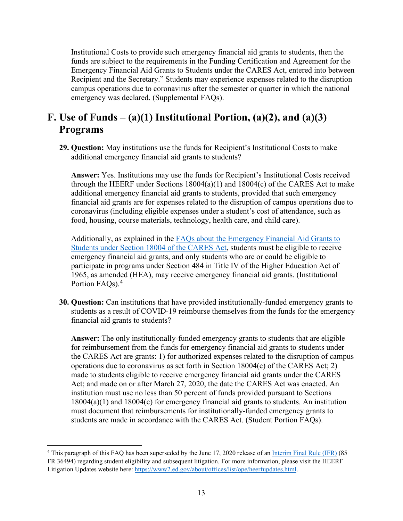Institutional Costs to provide such emergency financial aid grants to students, then the funds are subject to the requirements in the Funding Certification and Agreement for the Emergency Financial Aid Grants to Students under the CARES Act, entered into between Recipient and the Secretary." Students may experience expenses related to the disruption campus operations due to coronavirus after the semester or quarter in which the national emergency was declared. (Supplemental FAQs).

## <span id="page-12-0"></span>**F. Use of Funds – (a)(1) Institutional Portion, (a)(2), and (a)(3) Programs**

**29. Question:** May institutions use the funds for Recipient's Institutional Costs to make additional emergency financial aid grants to students?

**Answer:** Yes. Institutions may use the funds for Recipient's Institutional Costs received through the HEERF under Sections 18004(a)(1) and 18004(c) of the CARES Act to make additional emergency financial aid grants to students, provided that such emergency financial aid grants are for expenses related to the disruption of campus operations due to coronavirus (including eligible expenses under a student's cost of attendance, such as food, housing, course materials, technology, health care, and child care).

Additionally, as explained in the FAQs [about the Emergency Financial Aid Grants to](https://www2.ed.gov/about/offices/list/ope/heerfstudentfaqs.pdf)  [Students under Section 18004 of the CARES Act,](https://www2.ed.gov/about/offices/list/ope/heerfstudentfaqs.pdf) students must be eligible to receive emergency financial aid grants, and only students who are or could be eligible to participate in programs under Section 484 in Title IV of the Higher Education Act of 1965, as amended (HEA), may receive emergency financial aid grants. (Institutional Portion FAQs).<sup>[4](#page-12-1)</sup>

**30. Question:** Can institutions that have provided institutionally-funded emergency grants to students as a result of COVID-19 reimburse themselves from the funds for the emergency financial aid grants to students?

**Answer:** The only institutionally-funded emergency grants to students that are eligible for reimbursement from the funds for emergency financial aid grants to students under the CARES Act are grants: 1) for authorized expenses related to the disruption of campus operations due to coronavirus as set forth in Section 18004(c) of the CARES Act; 2) made to students eligible to receive emergency financial aid grants under the CARES Act; and made on or after March 27, 2020, the date the CARES Act was enacted. An institution must use no less than 50 percent of funds provided pursuant to Sections 18004(a)(1) and 18004(c) for emergency financial aid grants to students. An institution must document that reimbursements for institutionally-funded emergency grants to students are made in accordance with the CARES Act. (Student Portion FAQs).

<span id="page-12-1"></span><sup>4</sup> This paragraph of this FAQ has been superseded by the June 17, 2020 release of a[n Interim Final Rule \(IFR\)](https://www.federalregister.gov/d/2020-12965) (85 FR 36494) regarding student eligibility and subsequent litigation. For more information, please visit the HEERF Litigation Updates website here[: https://www2.ed.gov/about/offices/list/ope/heerfupdates.html.](https://www2.ed.gov/about/offices/list/ope/heerfupdates.html)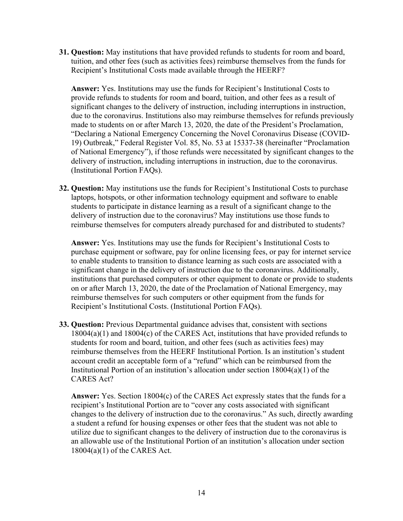**31. Question:** May institutions that have provided refunds to students for room and board, tuition, and other fees (such as activities fees) reimburse themselves from the funds for Recipient's Institutional Costs made available through the HEERF?

**Answer:** Yes. Institutions may use the funds for Recipient's Institutional Costs to provide refunds to students for room and board, tuition, and other fees as a result of significant changes to the delivery of instruction, including interruptions in instruction, due to the coronavirus. Institutions also may reimburse themselves for refunds previously made to students on or after March 13, 2020, the date of the President's Proclamation, "Declaring a National Emergency Concerning the Novel Coronavirus Disease (COVID-19) Outbreak," Federal Register Vol. 85, No. 53 at 15337-38 (hereinafter "Proclamation of National Emergency"), if those refunds were necessitated by significant changes to the delivery of instruction, including interruptions in instruction, due to the coronavirus. (Institutional Portion FAQs).

**32. Question:** May institutions use the funds for Recipient's Institutional Costs to purchase laptops, hotspots, or other information technology equipment and software to enable students to participate in distance learning as a result of a significant change to the delivery of instruction due to the coronavirus? May institutions use those funds to reimburse themselves for computers already purchased for and distributed to students?

**Answer:** Yes. Institutions may use the funds for Recipient's Institutional Costs to purchase equipment or software, pay for online licensing fees, or pay for internet service to enable students to transition to distance learning as such costs are associated with a significant change in the delivery of instruction due to the coronavirus. Additionally, institutions that purchased computers or other equipment to donate or provide to students on or after March 13, 2020, the date of the Proclamation of National Emergency, may reimburse themselves for such computers or other equipment from the funds for Recipient's Institutional Costs. (Institutional Portion FAQs).

**33. Question:** Previous Departmental guidance advises that, consistent with sections 18004(a)(1) and 18004(c) of the CARES Act, institutions that have provided refunds to students for room and board, tuition, and other fees (such as activities fees) may reimburse themselves from the HEERF Institutional Portion. Is an institution's student account credit an acceptable form of a "refund" which can be reimbursed from the Institutional Portion of an institution's allocation under section 18004(a)(1) of the CARES Act?

**Answer:** Yes. Section 18004(c) of the CARES Act expressly states that the funds for a recipient's Institutional Portion are to "cover any costs associated with significant changes to the delivery of instruction due to the coronavirus." As such, directly awarding a student a refund for housing expenses or other fees that the student was not able to utilize due to significant changes to the delivery of instruction due to the coronavirus is an allowable use of the Institutional Portion of an institution's allocation under section 18004(a)(1) of the CARES Act.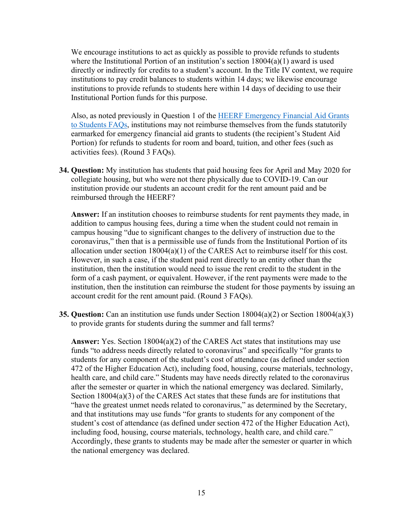We encourage institutions to act as quickly as possible to provide refunds to students where the Institutional Portion of an institution's section 18004(a)(1) award is used directly or indirectly for credits to a student's account. In the Title IV context, we require institutions to pay credit balances to students within 14 days; we likewise encourage institutions to provide refunds to students here within 14 days of deciding to use their Institutional Portion funds for this purpose.

Also, as noted previously in Question 1 of the [HEERF Emergency Financial Aid Grants](https://www2.ed.gov/about/offices/list/ope/heerfstudentfaqs.pdf)  [to Students FAQs,](https://www2.ed.gov/about/offices/list/ope/heerfstudentfaqs.pdf) institutions may not reimburse themselves from the funds statutorily earmarked for emergency financial aid grants to students (the recipient's Student Aid Portion) for refunds to students for room and board, tuition, and other fees (such as activities fees). (Round 3 FAQs).

**34. Question:** My institution has students that paid housing fees for April and May 2020 for collegiate housing, but who were not there physically due to COVID-19. Can our institution provide our students an account credit for the rent amount paid and be reimbursed through the HEERF?

**Answer:** If an institution chooses to reimburse students for rent payments they made, in addition to campus housing fees, during a time when the student could not remain in campus housing "due to significant changes to the delivery of instruction due to the coronavirus," then that is a permissible use of funds from the Institutional Portion of its allocation under section 18004(a)(1) of the CARES Act to reimburse itself for this cost. However, in such a case, if the student paid rent directly to an entity other than the institution, then the institution would need to issue the rent credit to the student in the form of a cash payment, or equivalent. However, if the rent payments were made to the institution, then the institution can reimburse the student for those payments by issuing an account credit for the rent amount paid. (Round 3 FAQs).

**35. Question:** Can an institution use funds under Section 18004(a)(2) or Section 18004(a)(3) to provide grants for students during the summer and fall terms?

**Answer:** Yes. Section 18004(a)(2) of the CARES Act states that institutions may use funds "to address needs directly related to coronavirus" and specifically "for grants to students for any component of the student's cost of attendance (as defined under section 472 of the Higher Education Act), including food, housing, course materials, technology, health care, and child care." Students may have needs directly related to the coronavirus after the semester or quarter in which the national emergency was declared. Similarly, Section 18004(a)(3) of the CARES Act states that these funds are for institutions that "have the greatest unmet needs related to coronavirus," as determined by the Secretary, and that institutions may use funds "for grants to students for any component of the student's cost of attendance (as defined under section 472 of the Higher Education Act), including food, housing, course materials, technology, health care, and child care." Accordingly, these grants to students may be made after the semester or quarter in which the national emergency was declared.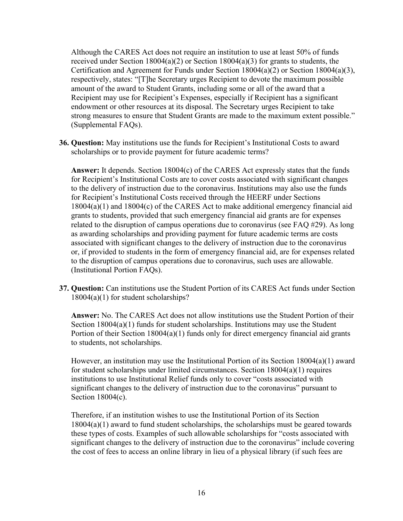Although the CARES Act does not require an institution to use at least 50% of funds received under Section  $18004(a)(2)$  or Section  $18004(a)(3)$  for grants to students, the Certification and Agreement for Funds under Section 18004(a)(2) or Section 18004(a)(3), respectively, states: "[T]he Secretary urges Recipient to devote the maximum possible amount of the award to Student Grants, including some or all of the award that a Recipient may use for Recipient's Expenses, especially if Recipient has a significant endowment or other resources at its disposal. The Secretary urges Recipient to take strong measures to ensure that Student Grants are made to the maximum extent possible." (Supplemental FAQs).

**36. Question:** May institutions use the funds for Recipient's Institutional Costs to award scholarships or to provide payment for future academic terms?

**Answer:** It depends. Section 18004(c) of the CARES Act expressly states that the funds for Recipient's Institutional Costs are to cover costs associated with significant changes to the delivery of instruction due to the coronavirus. Institutions may also use the funds for Recipient's Institutional Costs received through the HEERF under Sections 18004(a)(1) and 18004(c) of the CARES Act to make additional emergency financial aid grants to students, provided that such emergency financial aid grants are for expenses related to the disruption of campus operations due to coronavirus (see FAQ #29). As long as awarding scholarships and providing payment for future academic terms are costs associated with significant changes to the delivery of instruction due to the coronavirus or, if provided to students in the form of emergency financial aid, are for expenses related to the disruption of campus operations due to coronavirus, such uses are allowable. (Institutional Portion FAQs).

**37. Question:** Can institutions use the Student Portion of its CARES Act funds under Section 18004(a)(1) for student scholarships?

**Answer:** No. The CARES Act does not allow institutions use the Student Portion of their Section 18004(a)(1) funds for student scholarships. Institutions may use the Student Portion of their Section 18004(a)(1) funds only for direct emergency financial aid grants to students, not scholarships.

However, an institution may use the Institutional Portion of its Section 18004(a)(1) award for student scholarships under limited circumstances. Section 18004(a)(1) requires institutions to use Institutional Relief funds only to cover "costs associated with significant changes to the delivery of instruction due to the coronavirus" pursuant to Section 18004(c).

Therefore, if an institution wishes to use the Institutional Portion of its Section 18004(a)(1) award to fund student scholarships, the scholarships must be geared towards these types of costs. Examples of such allowable scholarships for "costs associated with significant changes to the delivery of instruction due to the coronavirus" include covering the cost of fees to access an online library in lieu of a physical library (if such fees are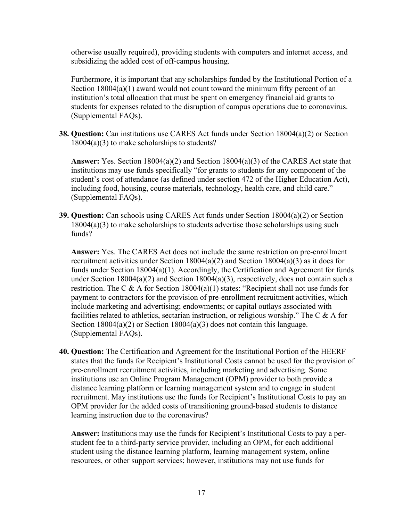otherwise usually required), providing students with computers and internet access, and subsidizing the added cost of off-campus housing.

Furthermore, it is important that any scholarships funded by the Institutional Portion of a Section  $18004(a)(1)$  award would not count toward the minimum fifty percent of an institution's total allocation that must be spent on emergency financial aid grants to students for expenses related to the disruption of campus operations due to coronavirus. (Supplemental FAQs).

**38. Question:** Can institutions use CARES Act funds under Section 18004(a)(2) or Section 18004(a)(3) to make scholarships to students?

**Answer:** Yes. Section 18004(a)(2) and Section 18004(a)(3) of the CARES Act state that institutions may use funds specifically "for grants to students for any component of the student's cost of attendance (as defined under section 472 of the Higher Education Act), including food, housing, course materials, technology, health care, and child care." (Supplemental FAQs).

**39. Question:** Can schools using CARES Act funds under Section 18004(a)(2) or Section 18004(a)(3) to make scholarships to students advertise those scholarships using such funds?

**Answer:** Yes. The CARES Act does not include the same restriction on pre-enrollment recruitment activities under Section 18004(a)(2) and Section 18004(a)(3) as it does for funds under Section 18004(a)(1). Accordingly, the Certification and Agreement for funds under Section 18004(a)(2) and Section 18004(a)(3), respectively, does not contain such a restriction. The C & A for Section  $18004(a)(1)$  states: "Recipient shall not use funds for payment to contractors for the provision of pre-enrollment recruitment activities, which include marketing and advertising; endowments; or capital outlays associated with facilities related to athletics, sectarian instruction, or religious worship." The C  $\&$  A for Section  $18004(a)(2)$  or Section  $18004(a)(3)$  does not contain this language. (Supplemental FAQs).

**40. Question:** The Certification and Agreement for the Institutional Portion of the HEERF states that the funds for Recipient's Institutional Costs cannot be used for the provision of pre-enrollment recruitment activities, including marketing and advertising. Some institutions use an Online Program Management (OPM) provider to both provide a distance learning platform or learning management system and to engage in student recruitment. May institutions use the funds for Recipient's Institutional Costs to pay an OPM provider for the added costs of transitioning ground-based students to distance learning instruction due to the coronavirus?

**Answer:** Institutions may use the funds for Recipient's Institutional Costs to pay a perstudent fee to a third-party service provider, including an OPM, for each additional student using the distance learning platform, learning management system, online resources, or other support services; however, institutions may not use funds for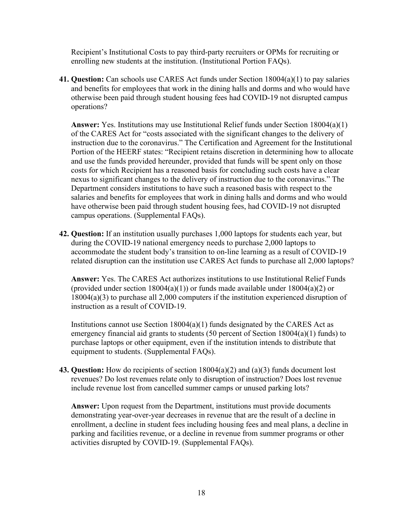Recipient's Institutional Costs to pay third-party recruiters or OPMs for recruiting or enrolling new students at the institution. (Institutional Portion FAQs).

**41. Question:** Can schools use CARES Act funds under Section 18004(a)(1) to pay salaries and benefits for employees that work in the dining halls and dorms and who would have otherwise been paid through student housing fees had COVID-19 not disrupted campus operations?

**Answer:** Yes. Institutions may use Institutional Relief funds under Section 18004(a)(1) of the CARES Act for "costs associated with the significant changes to the delivery of instruction due to the coronavirus." The Certification and Agreement for the Institutional Portion of the HEERF states: "Recipient retains discretion in determining how to allocate and use the funds provided hereunder, provided that funds will be spent only on those costs for which Recipient has a reasoned basis for concluding such costs have a clear nexus to significant changes to the delivery of instruction due to the coronavirus." The Department considers institutions to have such a reasoned basis with respect to the salaries and benefits for employees that work in dining halls and dorms and who would have otherwise been paid through student housing fees, had COVID-19 not disrupted campus operations. (Supplemental FAQs).

**42. Question:** If an institution usually purchases 1,000 laptops for students each year, but during the COVID-19 national emergency needs to purchase 2,000 laptops to accommodate the student body's transition to on-line learning as a result of COVID-19 related disruption can the institution use CARES Act funds to purchase all 2,000 laptops?

**Answer:** Yes. The CARES Act authorizes institutions to use Institutional Relief Funds (provided under section  $18004(a)(1)$ ) or funds made available under  $18004(a)(2)$  or 18004(a)(3) to purchase all 2,000 computers if the institution experienced disruption of instruction as a result of COVID-19.

Institutions cannot use Section  $18004(a)(1)$  funds designated by the CARES Act as emergency financial aid grants to students (50 percent of Section 18004(a)(1) funds) to purchase laptops or other equipment, even if the institution intends to distribute that equipment to students. (Supplemental FAQs).

**43. Question:** How do recipients of section 18004(a)(2) and (a)(3) funds document lost revenues? Do lost revenues relate only to disruption of instruction? Does lost revenue include revenue lost from cancelled summer camps or unused parking lots?

**Answer:** Upon request from the Department, institutions must provide documents demonstrating year-over-year decreases in revenue that are the result of a decline in enrollment, a decline in student fees including housing fees and meal plans, a decline in parking and facilities revenue, or a decline in revenue from summer programs or other activities disrupted by COVID-19. (Supplemental FAQs).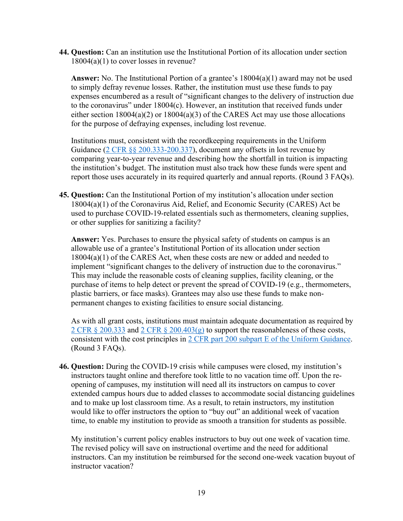**44. Question:** Can an institution use the Institutional Portion of its allocation under section 18004(a)(1) to cover losses in revenue?

**Answer:** No. The Institutional Portion of a grantee's 18004(a)(1) award may not be used to simply defray revenue losses. Rather, the institution must use these funds to pay expenses encumbered as a result of "significant changes to the delivery of instruction due to the coronavirus" under 18004(c). However, an institution that received funds under either section 18004(a)(2) or 18004(a)(3) of the CARES Act may use those allocations for the purpose of defraying expenses, including lost revenue.

Institutions must, consistent with the recordkeeping requirements in the Uniform Guidance [\(2 CFR §§ 200.333-200.337\)](https://www.ecfr.gov/cgi-bin/text-idx?SID=e2a25ae343c798d7ae52937be4fad7eb&mc=true&node=sg2.1.200_1332.sg6&rgn=div7), document any offsets in lost revenue by comparing year-to-year revenue and describing how the shortfall in tuition is impacting the institution's budget. The institution must also track how these funds were spent and report those uses accurately in its required quarterly and annual reports. (Round 3 FAQs).

**45. Question:** Can the Institutional Portion of my institution's allocation under section 18004(a)(1) of the Coronavirus Aid, Relief, and Economic Security (CARES) Act be used to purchase COVID-19-related essentials such as thermometers, cleaning supplies, or other supplies for sanitizing a facility?

**Answer:** Yes. Purchases to ensure the physical safety of students on campus is an allowable use of a grantee's Institutional Portion of its allocation under section 18004(a)(1) of the CARES Act, when these costs are new or added and needed to implement "significant changes to the delivery of instruction due to the coronavirus." This may include the reasonable costs of cleaning supplies, facility cleaning, or the purchase of items to help detect or prevent the spread of COVID-19 (e.g., thermometers, plastic barriers, or face masks). Grantees may also use these funds to make nonpermanent changes to existing facilities to ensure social distancing.

As with all grant costs, institutions must maintain adequate documentation as required by 2 CFR  $\S 200.333$  and  $2$  CFR  $\S 200.403(g)$  to support the reasonableness of these costs, consistent with the cost principles in [2 CFR part 200 subpart E of the Uniform Guidance.](https://www.ecfr.gov/cgi-bin/text-idx?SID=377b5d764a13664d69f2cf5a66b8629a&mc=true&node=pt2.1.200&rgn=div5#sp2.1.200.e) (Round 3 FAQs).

**46. Question:** During the COVID-19 crisis while campuses were closed, my institution's instructors taught online and therefore took little to no vacation time off. Upon the reopening of campuses, my institution will need all its instructors on campus to cover extended campus hours due to added classes to accommodate social distancing guidelines and to make up lost classroom time. As a result, to retain instructors, my institution would like to offer instructors the option to "buy out" an additional week of vacation time, to enable my institution to provide as smooth a transition for students as possible.

My institution's current policy enables instructors to buy out one week of vacation time. The revised policy will save on instructional overtime and the need for additional instructors. Can my institution be reimbursed for the second one-week vacation buyout of instructor vacation?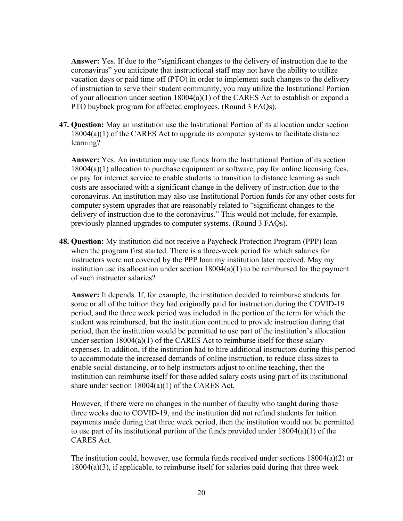**Answer:** Yes. If due to the "significant changes to the delivery of instruction due to the coronavirus" you anticipate that instructional staff may not have the ability to utilize vacation days or paid time off (PTO) in order to implement such changes to the delivery of instruction to serve their student community, you may utilize the Institutional Portion of your allocation under section 18004(a)(1) of the CARES Act to establish or expand a PTO buyback program for affected employees. (Round 3 FAQs).

**47. Question:** May an institution use the Institutional Portion of its allocation under section 18004(a)(1) of the CARES Act to upgrade its computer systems to facilitate distance learning?

**Answer:** Yes. An institution may use funds from the Institutional Portion of its section 18004(a)(1) allocation to purchase equipment or software, pay for online licensing fees, or pay for internet service to enable students to transition to distance learning as such costs are associated with a significant change in the delivery of instruction due to the coronavirus. An institution may also use Institutional Portion funds for any other costs for computer system upgrades that are reasonably related to "significant changes to the delivery of instruction due to the coronavirus." This would not include, for example, previously planned upgrades to computer systems. (Round 3 FAQs).

**48. Question:** My institution did not receive a Paycheck Protection Program (PPP) loan when the program first started. There is a three-week period for which salaries for instructors were not covered by the PPP loan my institution later received. May my institution use its allocation under section  $18004(a)(1)$  to be reimbursed for the payment of such instructor salaries?

**Answer:** It depends. If, for example, the institution decided to reimburse students for some or all of the tuition they had originally paid for instruction during the COVID-19 period, and the three week period was included in the portion of the term for which the student was reimbursed, but the institution continued to provide instruction during that period, then the institution would be permitted to use part of the institution's allocation under section 18004(a)(1) of the CARES Act to reimburse itself for those salary expenses. In addition, if the institution had to hire additional instructors during this period to accommodate the increased demands of online instruction, to reduce class sizes to enable social distancing, or to help instructors adjust to online teaching, then the institution can reimburse itself for those added salary costs using part of its institutional share under section 18004(a)(1) of the CARES Act.

However, if there were no changes in the number of faculty who taught during those three weeks due to COVID-19, and the institution did not refund students for tuition payments made during that three week period, then the institution would not be permitted to use part of its institutional portion of the funds provided under 18004(a)(1) of the CARES Act.

The institution could, however, use formula funds received under sections  $18004(a)(2)$  or 18004(a)(3), if applicable, to reimburse itself for salaries paid during that three week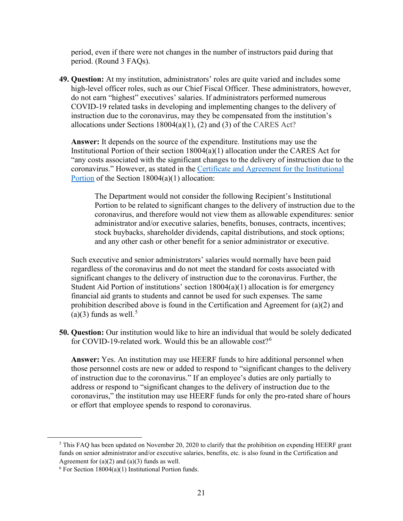period, even if there were not changes in the number of instructors paid during that period. (Round 3 FAQs).

**49. Question:** At my institution, administrators' roles are quite varied and includes some high-level officer roles, such as our Chief Fiscal Officer. These administrators, however, do not earn "highest" executives' salaries. If administrators performed numerous COVID-19 related tasks in developing and implementing changes to the delivery of instruction due to the coronavirus, may they be compensated from the institution's allocations under Sections  $18004(a)(1)$ , (2) and (3) of the CARES Act?

**Answer:** It depends on the source of the expenditure. Institutions may use the Institutional Portion of their section  $18004(a)(1)$  allocation under the CARES Act for "any costs associated with the significant changes to the delivery of instruction due to the coronavirus." However, as stated in the [Certificate and Agreement for the Institutional](https://www2.ed.gov/about/offices/list/ope/heerfInstitutionalcertificationagreement42020v2.pdf)  [Portion](https://www2.ed.gov/about/offices/list/ope/heerfInstitutionalcertificationagreement42020v2.pdf) of the Section 18004(a)(1) allocation:

The Department would not consider the following Recipient's Institutional Portion to be related to significant changes to the delivery of instruction due to the coronavirus, and therefore would not view them as allowable expenditures: senior administrator and/or executive salaries, benefits, bonuses, contracts, incentives; stock buybacks, shareholder dividends, capital distributions, and stock options; and any other cash or other benefit for a senior administrator or executive.

Such executive and senior administrators' salaries would normally have been paid regardless of the coronavirus and do not meet the standard for costs associated with significant changes to the delivery of instruction due to the coronavirus. Further, the Student Aid Portion of institutions' section  $18004(a)(1)$  allocation is for emergency financial aid grants to students and cannot be used for such expenses. The same prohibition described above is found in the Certification and Agreement for (a)(2) and (a)(3) funds as well.<sup>[5](#page-20-0)</sup>

**50. Question:** Our institution would like to hire an individual that would be solely dedicated for COVID-19-related work. Would this be an allowable  $cost?$ <sup>[6](#page-20-1)</sup>

**Answer:** Yes. An institution may use HEERF funds to hire additional personnel when those personnel costs are new or added to respond to "significant changes to the delivery of instruction due to the coronavirus." If an employee's duties are only partially to address or respond to "significant changes to the delivery of instruction due to the coronavirus," the institution may use HEERF funds for only the pro-rated share of hours or effort that employee spends to respond to coronavirus.

<span id="page-20-0"></span> $5$  This FAQ has been updated on November 20, 2020 to clarify that the prohibition on expending HEERF grant funds on senior administrator and/or executive salaries, benefits, etc. is also found in the Certification and Agreement for  $(a)(2)$  and  $(a)(3)$  funds as well.

<span id="page-20-1"></span> $6$  For Section 18004(a)(1) Institutional Portion funds.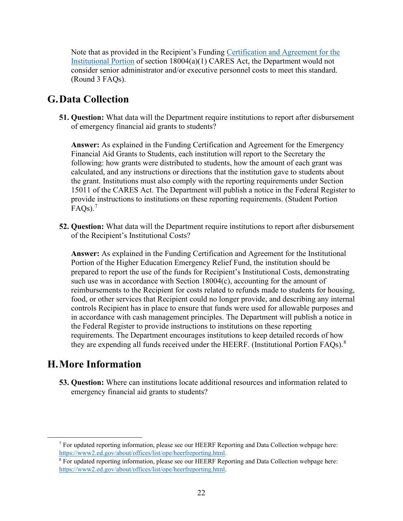Note that as provided in the Recipient's Funding Certification and Agreement for the [Institutional Portion](https://www2.ed.gov/about/offices/list/ope/heerfInstitutionalcertificationagreement42020v2.pdf) of section 18004(a)(1) CARES Act, the Department would not consider senior administrator and/or executive personnel costs to meet this standard. (Round 3 FAQs).

#### <span id="page-21-0"></span>**G.Data Collection**

**51. Question:** What data will the Department require institutions to report after disbursement of emergency financial aid grants to students?

**Answer:** As explained in the Funding Certification and Agreement for the Emergency Financial Aid Grants to Students, each institution will report to the Secretary the following: how grants were distributed to students, how the amount of each grant was calculated, and any instructions or directions that the institution gave to students about the grant. Institutions must also comply with the reporting requirements under Section 15011 of the CARES Act. The Department will publish a notice in the Federal Register to provide instructions to institutions on these reporting requirements. (Student Portion  $\text{FAQs}$ ).<sup>[7](#page-21-2)</sup>

**52. Question:** What data will the Department require institutions to report after disbursement of the Recipient's Institutional Costs?

**Answer:** As explained in the Funding Certification and Agreement for the Institutional Portion of the Higher Education Emergency Relief Fund, the institution should be prepared to report the use of the funds for Recipient's Institutional Costs, demonstrating such use was in accordance with Section 18004(c), accounting for the amount of reimbursements to the Recipient for costs related to refunds made to students for housing, food, or other services that Recipient could no longer provide, and describing any internal controls Recipient has in place to ensure that funds were used for allowable purposes and in accordance with cash management principles. The Department will publish a notice in the Federal Register to provide instructions to institutions on these reporting requirements. The Department encourages institutions to keep detailed records of how they are expending all funds received under the HEERF. (Institutional Portion FAQs). $8$ 

### <span id="page-21-1"></span>**H.More Information**

**53. Question:** Where can institutions locate additional resources and information related to emergency financial aid grants to students?

<span id="page-21-2"></span> $<sup>7</sup>$  For updated reporting information, please see our HEERF Reporting and Data Collection webpage here:</sup> [https://www2.ed.gov/about/offices/list/ope/heerfreporting.html.](https://www2.ed.gov/about/offices/list/ope/heerfreporting.html)

<span id="page-21-3"></span> $8$  For updated reporting information, please see our HEERF Reporting and Data Collection webpage here: [https://www2.ed.gov/about/offices/list/ope/heerfreporting.html.](https://www2.ed.gov/about/offices/list/ope/heerfreporting.html)